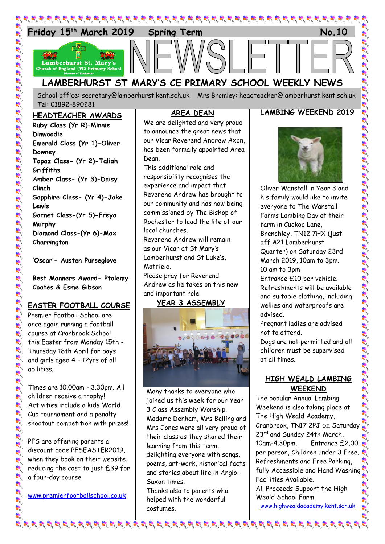

School office: [secretary@lamberhurst.kent.sch.uk](mailto:secretary@lamberhurst.kent.sch.uk) Mrs Bromley: headteacher@lamberhurst.kent.sch.uk Tel: 01892-890281

#### **HEADTEACHER AWARDS**

**Ruby Class (Yr R)–Minnie Dinwoodie Emerald Class (Yr 1)-Oliver Downey Topaz Class- (Yr 2)-Taliah Griffiths Amber Class- (Yr 3)-Daisy Clinch Sapphire Class- (Yr 4)-Jake Lewis Garnet Class-(Yr 5)-Freya Murphy Diamond Class-(Yr 6)-Max Charrington**

**'Oscar'- Austen Purseglove**

**Best Manners Award- Ptolemy Coates & Esme Gibson**

#### **EASTER FOOTBALL COURSE**

Premier Football School are once again running a football course at Cranbrook School this Easter from Monday 15th - Thursday 18th April for boys and girls aged 4 – 12yrs of all abilities.

Times are 10.00am - 3.30pm. All children receive a trophy! Activities include a kids World Cup tournament and a penalty shootout competition with prizes!

PFS are offering parents a discount code PFSEASTER2019, when they book on their website, reducing the cost to just £39 for a four-day course.

[www.premierfootballschool.co.uk](http://www.premierfootballschool.co.uk/)

# **AREA DEAN**

We are delighted and very proud to announce the great news that our Vicar Reverend Andrew Axon, has been formally appointed Area Dean.

This additional role and responsibility recognises the experience and impact that Reverend Andrew has brought to our community and has now being commissioned by The Bishop of Rochester to lead the life of our local churches.

Reverend Andrew will remain as our Vicar at St Mary's Lamberhurst and St Luke's, Matfield.

Please pray for Reverend Andrew as he takes on this new and important role.

#### **YEAR 3 ASSEMBLY**



Many thanks to everyone who joined us this week for our Year 3 Class Assembly Worship. Madame Denham, Mrs Belling and Mrs Jones were all very proud of their class as they shared their learning from this term, delighting everyone with songs, poems, art-work, historical facts and stories about life in Anglo-Saxon times.

Thanks also to parents who helped with the wonderful costumes.

## **LAMBING WEEKEND 2019**



Oliver Wanstall in Year 3 and his family would like to invite everyone to The Wanstall Farms Lambing Day at their farm in Cuckoo Lane, Brenchley, TN12 7HX (just off A21 Lamberhurst Quarter) on Saturday 23rd March 2019, 10am to 3pm. 10 am to 3pm

Entrance £10 per vehicle. Refreshments will be available and suitable clothing, including wellies and waterproofs are advised.

Pregnant ladies are advised not to attend.

Dogs are not permitted and all children must be supervised at all times.

## **HIGH WEALD LAMBING WEEKEND**

The popular Annual Lambing Weekend is also taking place at The High Weald Academy, Cranbrook, TN17 2PJ on Saturday 23<sup>rd</sup> and Sunday 24th March, 10am-4.30pm. Entrance £2.00 per person, Children under 3 Free. Refreshments and Free Parking, fully Accessible and Hand Washing Facilities Available.

All Proceeds Support the High Weald School Farm.

[www.highwealdacademy.kent.sch.uk](http://www.highwealdacademy.kent.sch.uk/)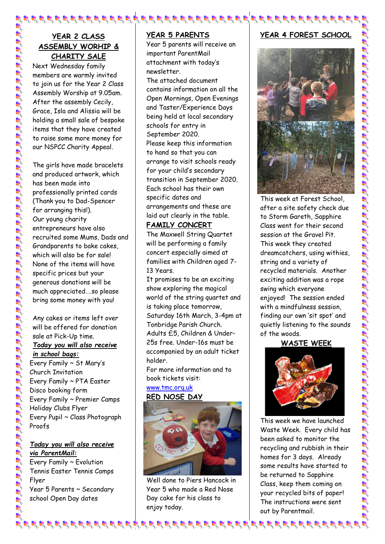## **YEAR 2 CLASS ASSEMBLY WORHIP & CHARITY SALE**

Next Wednesday family members are warmly invited to join us for the Year 2 Class Assembly Worship at 9.05am. After the assembly Cecily, Grace, Isla and Alissia will be holding a small sale of bespoke items that they have created to raise some more money for our NSPCC Charity Appeal.

The girls have made bracelets and produced artwork, which has been made into professionally printed cards (Thank you to Dad-Spencer for arranging this!). Our young charity entrepreneurs have also recruited some Mums, Dads and Grandparents to bake cakes, which will also be for sale! None of the items will have specific prices but your generous donations will be much appreciated….so please bring some money with you!

Any cakes or items left over will be offered for donation sale at Pick-Up time. *Today you will also receive in school bags:* Every Family ~ St Mary's Church Invitation Every Family ~ PTA Easter Disco booking form Every Family ~ Premier Camps Holiday Clubs Flyer Every Pupil ~ Class Photograph Proofs

### *Today you will also receive via ParentMail:*

Every Family ~ Evolution Tennis Easter Tennis Camps Flyer Year 5 Parents ~ Secondary school Open Day dates

## **YEAR 5 PARENTS**

Year 5 parents will receive an important ParentMail attachment with today's newsletter.

The attached document contains information on all the Open Mornings, Open Evenings and Taster/Experience Days being held at local secondary schools for entry in September 2020. Please keep this information to hand so that you can arrange to visit schools ready for your child's secondary transition in September 2020. Each school has their own specific dates and arrangements and these are laid out clearly in the table.

#### **FAMILY CONCERT**

The Maxwell String Quartet will be performing a family concert especially aimed at families with Children aged 7- 13 Years.

It promises to be an exciting show exploring the magical world of the string quartet and is taking place tomorrow, Saturday 16th March, 3-4pm at Tonbridge Parish Church. Adults £5, Children & Under-25s free. Under-16s must be accompanied by an adult ticket holder.

For more information and to book tickets visit:

# [www.tmc.org.uk](http://www.tmc.org.uk/)



Well done to Piers Hancock in Year 5 who made a Red Nose Day cake for his class to enjoy today.

# **YEAR 4 FOREST SCHOOL**



This week at Forest School, after a site safety check due to Storm Gareth, Sapphire Class went for their second session at the Gravel Pit. This week they created dreamcatchers, using withies, string and a variety of recycled materials. Another exciting addition was a rope swing which everyone enjoyed! The session ended with a mindfulness session, finding our own 'sit spot' and quietly listening to the sounds of the woods.

## **WASTE WEEK**



This week we have launched Waste Week. Every child has been asked to monitor the recycling and rubbish in their homes for 3 days. Already some results have started to be returned to Sapphire Class, keep them coming on your recycled bits of paper! The instructions were sent out by Parentmail.